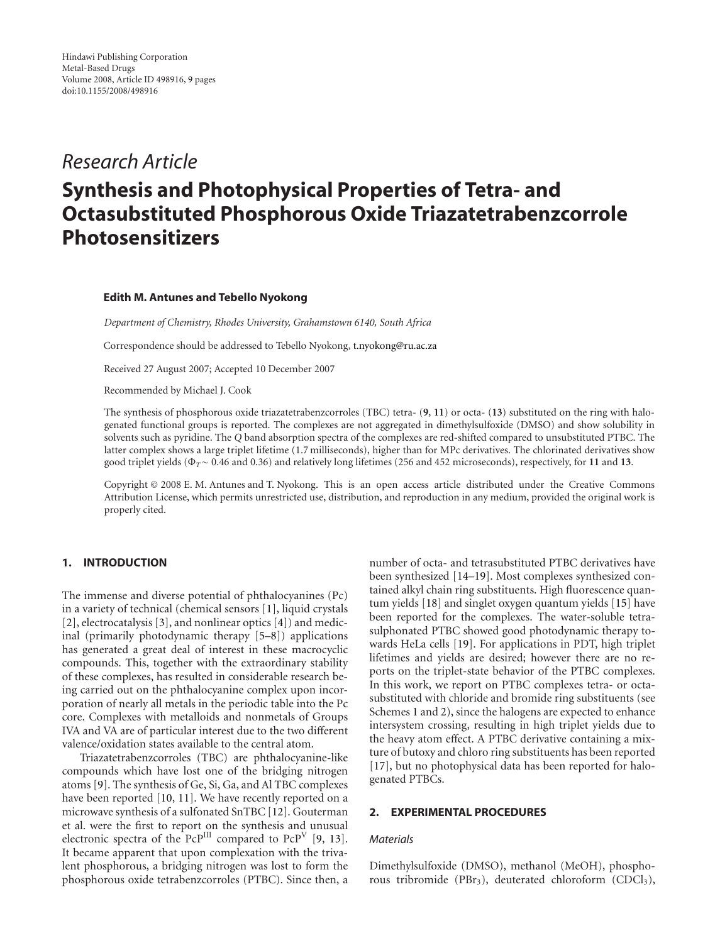# *Research Article*

# **Synthesis and Photophysical Properties of Tetra- and Octasubstituted Phosphorous Oxide Triazatetrabenzcorrole Photosensitizers**

#### **Edith M. Antunes and Tebello Nyokong**

*Department of Chemistry, Rhodes University, Grahamstown 6140, South Africa*

Correspondence should be addressed to Tebello Nyokong, [t.nyokong@ru.ac.za](mailto:t.nyokong@ru.ac.za)

Received 27 August 2007; Accepted 10 December 2007

Recommended by Michael J. Cook

The synthesis of phosphorous oxide triazatetrabenzcorroles (TBC) tetra- (**9**, **11**) or octa- (**13**) substituted on the ring with halogenated functional groups is reported. The complexes are not aggregated in dimethylsulfoxide (DMSO) and show solubility in solvents such as pyridine. The *Q* band absorption spectra of the complexes are red-shifted compared to unsubstituted PTBC. The latter complex shows a large triplet lifetime (1.7 milliseconds), higher than for MPc derivatives. The chlorinated derivatives show good triplet yields (Φ*T*∼ 0.46 and 0.36) and relatively long lifetimes (256 and 452 microseconds), respectively, for **11** and **13**.

Copyright © 2008 E. M. Antunes and T. Nyokong. This is an open access article distributed under the Creative Commons Attribution License, which permits unrestricted use, distribution, and reproduction in any medium, provided the original work is properly cited.

## **1. INTRODUCTION**

The immense and diverse potential of phthalocyanines (Pc) in a variety of technical (chemical sensors [\[1](#page-7-1)], liquid crystals [\[2\]](#page-7-2), electrocatalysis [\[3](#page-7-3)], and nonlinear optics [\[4\]](#page-7-4)) and medicinal (primarily photodynamic therapy [\[5](#page-7-5)[–8](#page-7-6)]) applications has generated a great deal of interest in these macrocyclic compounds. This, together with the extraordinary stability of these complexes, has resulted in considerable research being carried out on the phthalocyanine complex upon incorporation of nearly all metals in the periodic table into the Pc core. Complexes with metalloids and nonmetals of Groups IVA and VA are of particular interest due to the two different valence/oxidation states available to the central atom.

Triazatetrabenzcorroles (TBC) are phthalocyanine-like compounds which have lost one of the bridging nitrogen atoms [\[9\]](#page-7-7). The synthesis of Ge, Si, Ga, and Al TBC complexes have been reported [\[10,](#page-7-8) [11](#page-7-9)]. We have recently reported on a microwave synthesis of a sulfonated SnTBC [\[12\]](#page-7-10). Gouterman et al. were the first to report on the synthesis and unusual electronic spectra of the PcP<sup>III</sup> compared to PcP<sup>V</sup> [\[9](#page-7-7), [13](#page-7-11)]. It became apparent that upon complexation with the trivalent phosphorous, a bridging nitrogen was lost to form the phosphorous oxide tetrabenzcorroles (PTBC). Since then, a number of octa- and tetrasubstituted PTBC derivatives have been synthesized [\[14](#page-7-12)[–19\]](#page-8-0). Most complexes synthesized contained alkyl chain ring substituents. High fluorescence quantum yields [\[18](#page-7-13)] and singlet oxygen quantum yields [\[15](#page-7-14)] have been reported for the complexes. The water-soluble tetrasulphonated PTBC showed good photodynamic therapy towards HeLa cells [\[19\]](#page-8-0). For applications in PDT, high triplet lifetimes and yields are desired; however there are no reports on the triplet-state behavior of the PTBC complexes. In this work, we report on PTBC complexes tetra- or octasubstituted with chloride and bromide ring substituents (see Schemes [1](#page-1-0) and [2\)](#page-1-0), since the halogens are expected to enhance intersystem crossing, resulting in high triplet yields due to the heavy atom effect. A PTBC derivative containing a mixture of butoxy and chloro ring substituents has been reported [\[17](#page-7-15)], but no photophysical data has been reported for halogenated PTBCs.

## <span id="page-0-0"></span>**2. EXPERIMENTAL PROCEDURES**

#### *Materials*

Dimethylsulfoxide (DMSO), methanol (MeOH), phosphorous tribromide (PBr<sub>3</sub>), deuterated chloroform (CDCl<sub>3</sub>),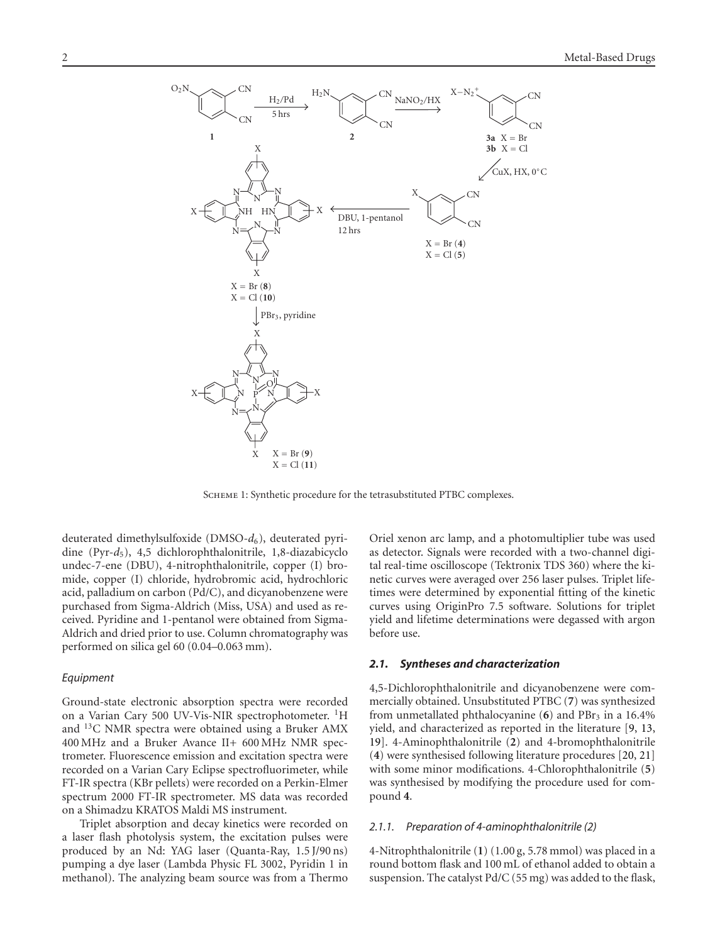

<span id="page-1-0"></span>Scheme 1: Synthetic procedure for the tetrasubstituted PTBC complexes.

deuterated dimethylsulfoxide (DMSO-*d*6), deuterated pyridine (Pyr-*d*5), 4,5 dichlorophthalonitrile, 1,8-diazabicyclo undec-7-ene (DBU), 4-nitrophthalonitrile, copper (I) bromide, copper (I) chloride, hydrobromic acid, hydrochloric acid, palladium on carbon (Pd/C), and dicyanobenzene were purchased from Sigma-Aldrich (Miss, USA) and used as received. Pyridine and 1-pentanol were obtained from Sigma-Aldrich and dried prior to use. Column chromatography was performed on silica gel 60 (0*.*04–0*.*063 mm).

#### *Equipment*

Ground-state electronic absorption spectra were recorded on a Varian Cary 500 UV-Vis-NIR spectrophotometer. <sup>1</sup>H and 13C NMR spectra were obtained using a Bruker AMX 400 MHz and a Bruker Avance II+ 600 MHz NMR spectrometer. Fluorescence emission and excitation spectra were recorded on a Varian Cary Eclipse spectrofluorimeter, while FT-IR spectra (KBr pellets) were recorded on a Perkin-Elmer spectrum 2000 FT-IR spectrometer. MS data was recorded on a Shimadzu KRATOS Maldi MS instrument.

Triplet absorption and decay kinetics were recorded on a laser flash photolysis system, the excitation pulses were produced by an Nd: YAG laser (Quanta-Ray, 1.5 J/90 ns) pumping a dye laser (Lambda Physic FL 3002, Pyridin 1 in methanol). The analyzing beam source was from a Thermo Oriel xenon arc lamp, and a photomultiplier tube was used as detector. Signals were recorded with a two-channel digital real-time oscilloscope (Tektronix TDS 360) where the kinetic curves were averaged over 256 laser pulses. Triplet lifetimes were determined by exponential fitting of the kinetic curves using OriginPro 7.5 software. Solutions for triplet yield and lifetime determinations were degassed with argon before use.

## *2.1. Syntheses and characterization*

4,5-Dichlorophthalonitrile and dicyanobenzene were commercially obtained. Unsubstituted PTBC (**7**) was synthesized from unmetallated phthalocyanine (6) and PBr<sub>3</sub> in a 16.4% yield, and characterized as reported in the literature [\[9,](#page-7-7) [13,](#page-7-11) [19\]](#page-8-0). 4-Aminophthalonitrile (**2**) and 4-bromophthalonitrile (**4**) were synthesised following literature procedures [\[20](#page-8-1), [21\]](#page-8-2) with some minor modifications. 4-Chlorophthalonitrile (**5**) was synthesised by modifying the procedure used for compound **4**.

## *2.1.1. Preparation of 4-aminophthalonitrile (2)*

4-Nitrophthalonitrile (**1**) (1.00 g, 5.78 mmol) was placed in a round bottom flask and 100 mL of ethanol added to obtain a suspension. The catalyst Pd/C (55 mg) was added to the flask,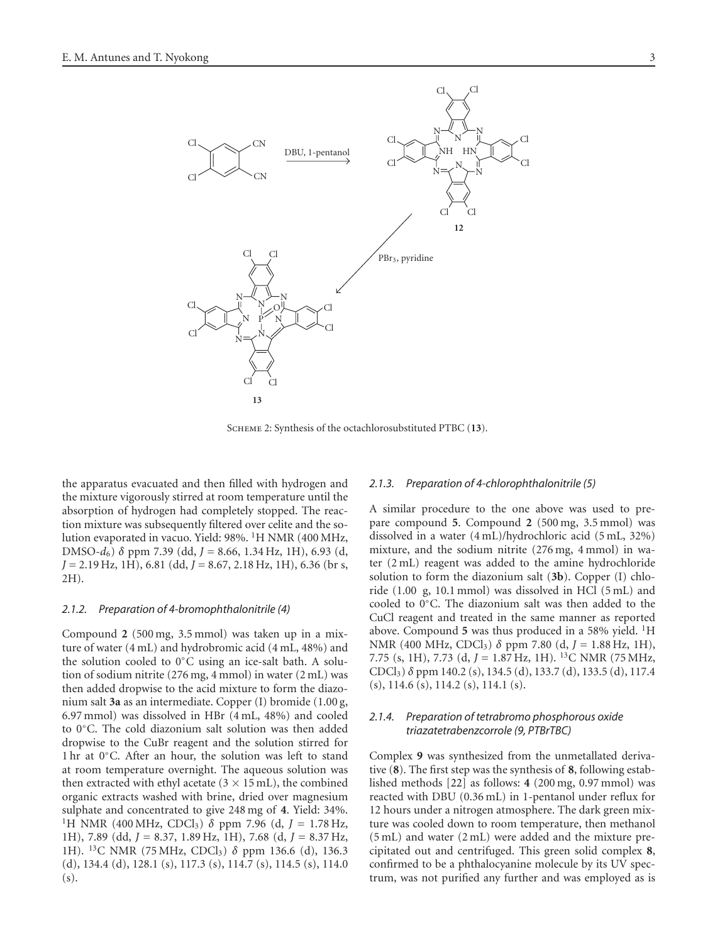

Scheme 2: Synthesis of the octachlorosubstituted PTBC (**13**).

the apparatus evacuated and then filled with hydrogen and the mixture vigorously stirred at room temperature until the absorption of hydrogen had completely stopped. The reaction mixture was subsequently filtered over celite and the solution evaporated in vacuo. Yield: 98%. 1H NMR (400 MHz, DMSO-*d*6) *δ* ppm 7.39 (dd, *J =* 8.66, 1.34 Hz, 1H), 6.93 (d, *J =* 2.19 Hz, 1H), 6.81 (dd, *J =* 8.67, 2.18 Hz, 1H), 6.36 (br s, 2H).

#### *2.1.2. Preparation of 4-bromophthalonitrile (4)*

Compound **2** (500 mg, 3.5 mmol) was taken up in a mixture of water (4 mL) and hydrobromic acid (4 mL, 48%) and the solution cooled to 0◦C using an ice-salt bath. A solution of sodium nitrite (276 mg, 4 mmol) in water (2 mL) was then added dropwise to the acid mixture to form the diazonium salt **3a** as an intermediate. Copper (I) bromide (1.00 g, 6.97 mmol) was dissolved in HBr (4 mL, 48%) and cooled to 0◦C. The cold diazonium salt solution was then added dropwise to the CuBr reagent and the solution stirred for 1 hr at 0◦C. After an hour, the solution was left to stand at room temperature overnight. The aqueous solution was then extracted with ethyl acetate  $(3 \times 15 \text{ mL})$ , the combined organic extracts washed with brine, dried over magnesium sulphate and concentrated to give 248 mg of **4**. Yield: 34%. 1H NMR (400 MHz, CDCl3) *δ* ppm 7.96 (d, *J =* 1.78 Hz, 1H), 7.89 (dd, *J =* 8.37, 1.89 Hz, 1H), 7.68 (d, *J =* 8.37 Hz, 1H). <sup>13</sup>C NMR (75 MHz, CDCl<sub>3</sub>) δ ppm 136.6 (d), 136.3 (d), 134.4 (d), 128.1 (s), 117.3 (s), 114.7 (s), 114.5 (s), 114.0 (s).

## *2.1.3. Preparation of 4-chlorophthalonitrile (5)*

A similar procedure to the one above was used to prepare compound **5**. Compound **2** (500 mg, 3.5 mmol) was dissolved in a water (4 mL)/hydrochloric acid (5 mL, 32%) mixture, and the sodium nitrite (276 mg, 4 mmol) in water (2 mL) reagent was added to the amine hydrochloride solution to form the diazonium salt (**3b**). Copper (I) chloride (1.00 g, 10.1 mmol) was dissolved in HCl (5 mL) and cooled to 0◦C. The diazonium salt was then added to the CuCl reagent and treated in the same manner as reported above. Compound **5** was thus produced in a 58% yield. 1H NMR (400 MHz, CDCl3) *δ* ppm 7.80 (d, *J =* 1.88 Hz, 1H), 7.75 (s, 1H), 7.73 (d, *J =* 1.87 Hz, 1H). 13C NMR (75 MHz, CDCl3) *δ* ppm 140.2 (s), 134.5 (d), 133.7 (d), 133.5 (d), 117.4  $(s)$ , 114.6  $(s)$ , 114.2  $(s)$ , 114.1  $(s)$ .

## *2.1.4. Preparation of tetrabromo phosphorous oxide triazatetrabenzcorrole (9, PTBrTBC)*

Complex **9** was synthesized from the unmetallated derivative (**8**). The first step was the synthesis of **8**, following established methods [\[22](#page-8-3)] as follows: **4** (200 mg, 0.97 mmol) was reacted with DBU (0.36 mL) in 1-pentanol under reflux for 12 hours under a nitrogen atmosphere. The dark green mixture was cooled down to room temperature, then methanol (5 mL) and water (2 mL) were added and the mixture precipitated out and centrifuged. This green solid complex **8**, confirmed to be a phthalocyanine molecule by its UV spectrum, was not purified any further and was employed as is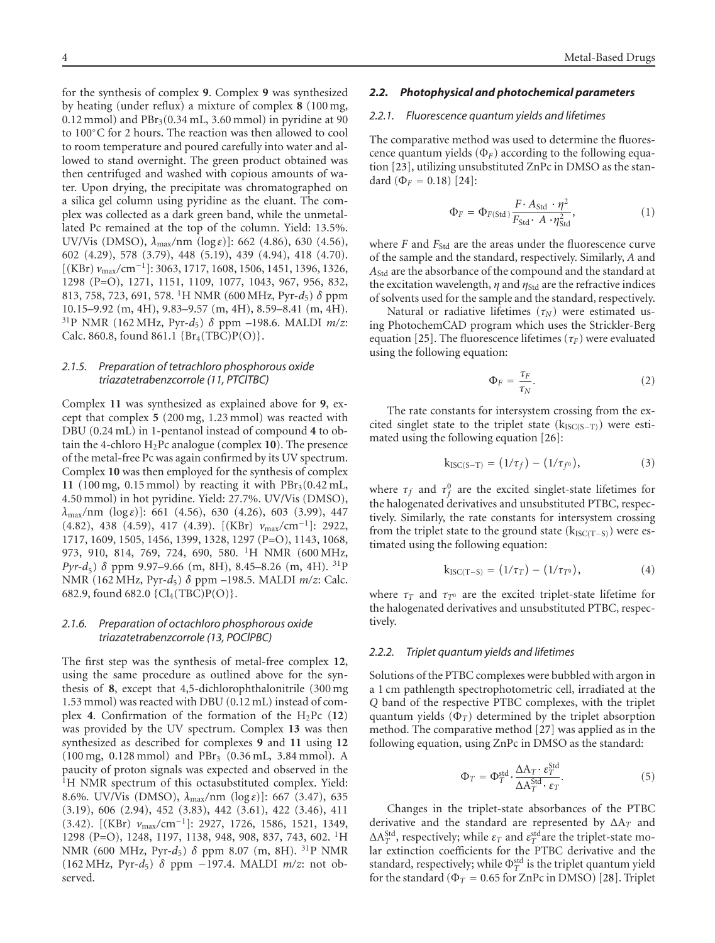for the synthesis of complex **9**. Complex **9** was synthesized by heating (under reflux) a mixture of complex **8** (100 mg,  $(0.12 \text{ mmol})$  and  $PBr<sub>3</sub>(0.34 \text{ mL}, 3.60 \text{ mmol})$  in pyridine at 90 to 100◦C for 2 hours. The reaction was then allowed to cool to room temperature and poured carefully into water and allowed to stand overnight. The green product obtained was then centrifuged and washed with copious amounts of water. Upon drying, the precipitate was chromatographed on a silica gel column using pyridine as the eluant. The complex was collected as a dark green band, while the unmetallated Pc remained at the top of the column. Yield: 13.5%. UV/Vis (DMSO), *λ*max*/*nm (log *ε*)]: 662 (4.86), 630 (4.56), 602 (4.29), 578 (3.79), 448 (5.19), 439 (4.94), 418 (4.70). [(KBr) *v*max*/*cm<sup>−</sup>1]: 3063, 1717, 1608, 1506, 1451, 1396, 1326, 1298 (P=O), 1271, 1151, 1109, 1077, 1043, 967, 956, 832, 813, 758, 723, 691, 578. 1H NMR (600 MHz, Pyr-*d*5) *δ* ppm 10.15–9.92 (m, 4H), 9.83–9.57 (m, 4H), 8.59–8.41 (m, 4H). 31P NMR (162 MHz, Pyr-*d*5) *δ* ppm –198.6. MALDI *m/z*: Calc. 860.8, found 861.1  ${Br_4(TBC)P(O)}$ .

## *2.1.5. Preparation of tetrachloro phosphorous oxide triazatetrabenzcorrole (11, PTClTBC)*

Complex **11** was synthesized as explained above for **9**, except that complex **5** (200 mg, 1.23 mmol) was reacted with DBU (0.24 mL) in 1-pentanol instead of compound **4** to obtain the 4-chloro  $H_2$ Pc analogue (complex 10). The presence of the metal-free Pc was again confirmed by its UV spectrum. Complex **10** was then employed for the synthesis of complex 11 (100 mg,  $0.15$  mmol) by reacting it with  $PBr<sub>3</sub>(0.42$  mL, 4.50 mmol) in hot pyridine. Yield: 27.7%. UV/Vis (DMSO), *λ*max*/*nm (log *ε*)]: 661 (4.56), 630 (4.26), 603 (3.99), 447 (4.82), 438 (4.59), 417 (4.39). [(KBr) *v*max*/*cm<sup>−</sup>1]: 2922, 1717, 1609, 1505, 1456, 1399, 1328, 1297 (P=O), 1143, 1068, 973, 910, 814, 769, 724, 690, 580. 1H NMR (600 MHz, *Pyr-d*<sub>5</sub>) *δ* ppm 9.97–9.66 (m, 8H), 8.45–8.26 (m, 4H). <sup>31</sup>P NMR (162 MHz, Pyr-*d*5) *δ* ppm –198.5. MALDI *m/z*: Calc. 682.9, found 682.0  ${Cl_4(TBC)P(O)}$ .

## *2.1.6. Preparation of octachloro phosphorous oxide triazatetrabenzcorrole (13, POClPBC)*

The first step was the synthesis of metal-free complex **12**, using the same procedure as outlined above for the synthesis of **8**, except that 4,5-dichlorophthalonitrile (300 mg 1.53 mmol) was reacted with DBU (0.12 mL) instead of complex **4**. Confirmation of the formation of the  $H_2Pc$  (12) was provided by the UV spectrum. Complex **13** was then synthesized as described for complexes **9** and **11** using **12** (100 mg, 0.128 mmol) and PBr3 (0.36 mL, 3.84 mmol). A paucity of proton signals was expected and observed in the <sup>1</sup>H NMR spectrum of this octasubstituted complex. Yield: 8.6%. UV/Vis (DMSO), *λ*max*/*nm (log *ε*)]: 667 (3.47), 635 (3.19), 606 (2.94), 452 (3.83), 442 (3.61), 422 (3.46), 411 (3.42). [(KBr) *v*max*/*cm<sup>−</sup>1]: 2927, 1726, 1586, 1521, 1349, 1298 (P=O), 1248, 1197, 1138, 948, 908, 837, 743, 602. 1H NMR (600 MHz, Pyr-*d*5) *δ* ppm 8.07 (m, 8H). 31P NMR (162 MHz, Pyr-*d*5) *δ* ppm −197.4. MALDI *m/z*: not observed.

## *2.2. Photophysical and photochemical parameters*

### *2.2.1. Fluorescence quantum yields and lifetimes*

The comparative method was used to determine the fluorescence quantum yields  $(\Phi_F)$  according to the following equation [\[23\]](#page-8-4), utilizing unsubstituted ZnPc in DMSO as the standard  $(\Phi_F = 0.18)$  [\[24\]](#page-8-5):

$$
\Phi_F = \Phi_{F(\text{Std})} \frac{F \cdot A_{\text{Std}} \cdot \eta^2}{F_{\text{Std}} \cdot A \cdot \eta_{\text{Std}}^2},\tag{1}
$$

where  $F$  and  $F_{\text{Std}}$  are the areas under the fluorescence curve of the sample and the standard, respectively. Similarly, *A* and *A*Std are the absorbance of the compound and the standard at the excitation wavelength,  $\eta$  and  $\eta_{\text{Std}}$  are the refractive indices of solvents used for the sample and the standard, respectively.

Natural or radiative lifetimes  $(\tau_N)$  were estimated using PhotochemCAD program which uses the Strickler-Berg equation [\[25\]](#page-8-6). The fluorescence lifetimes ( $\tau_F$ ) were evaluated using the following equation:

$$
\Phi_F = \frac{\tau_F}{\tau_N}.\tag{2}
$$

The rate constants for intersystem crossing from the excited singlet state to the triplet state ( $k_{ISC(S-T)}$ ) were estimated using the following equation [\[26\]](#page-8-7):

$$
k_{\text{ISC}(S-T)} = (1/\tau_f) - (1/\tau_{f^0}), \tag{3}
$$

where  $\tau_f$  and  $\tau_f^0$  are the excited singlet-state lifetimes for the halogenated derivatives and unsubstituted PTBC, respectively. Similarly, the rate constants for intersystem crossing from the triplet state to the ground state ( $k_{\text{ISC(T-S)}}$ ) were estimated using the following equation:

$$
k_{\text{ISC}(T-S)} = (1/\tau_T) - (1/\tau_{T^0}), \tag{4}
$$

where  $\tau_T$  and  $\tau_{T^0}$  are the excited triplet-state lifetime for the halogenated derivatives and unsubstituted PTBC, respectively.

#### *2.2.2. Triplet quantum yields and lifetimes*

Solutions of the PTBC complexes were bubbled with argon in a 1 cm pathlength spectrophotometric cell, irradiated at the *Q* band of the respective PTBC complexes, with the triplet quantum yields  $(\Phi_T)$  determined by the triplet absorption method. The comparative method [\[27](#page-8-8)] was applied as in the following equation, using ZnPc in DMSO as the standard:

$$
\Phi_T = \Phi_T^{\text{std}} \cdot \frac{\Delta A_T \cdot \varepsilon_T^{\text{Std}}}{\Delta A_T^{\text{Std}} \cdot \varepsilon_T}.
$$
\n(5)

Changes in the triplet-state absorbances of the PTBC derivative and the standard are represented by ΔA*<sup>T</sup>* and ΔA<sup>Std</sup>, respectively; while  $\varepsilon_T$  and  $\varepsilon_T^{\text{std}}$  are the triplet-state molar extinction coefficients for the PTBC derivative and the standard, respectively; while  $\Phi_T^{\text{std}}$  is the triplet quantum yield for the standard ( $\Phi_T = 0.65$  for ZnPc in DMSO) [\[28\]](#page-8-9). Triplet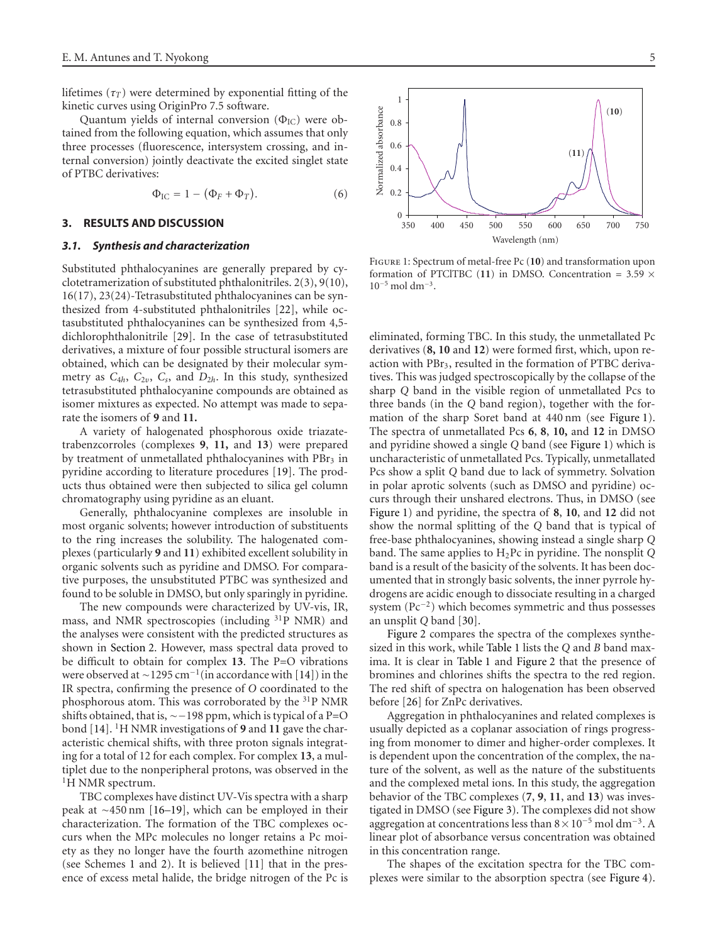lifetimes  $(\tau_T)$  were determined by exponential fitting of the kinetic curves using OriginPro 7.5 software.

Quantum yields of internal conversion  $(\Phi_{\text{IC}})$  were obtained from the following equation, which assumes that only three processes (fluorescence, intersystem crossing, and internal conversion) jointly deactivate the excited singlet state of PTBC derivatives:

$$
\Phi_{\rm IC} = 1 - (\Phi_F + \Phi_T). \tag{6}
$$

#### **3. RESULTS AND DISCUSSION**

#### *3.1. Synthesis and characterization*

Substituted phthalocyanines are generally prepared by cyclotetramerization of substituted phthalonitriles. 2(3), 9(10), 16(17), 23(24)-Tetrasubstituted phthalocyanines can be synthesized from 4-substituted phthalonitriles [\[22](#page-8-3)], while octasubstituted phthalocyanines can be synthesized from 4,5 dichlorophthalonitrile [\[29](#page-8-10)]. In the case of tetrasubstituted derivatives, a mixture of four possible structural isomers are obtained, which can be designated by their molecular symmetry as *C*4*h*, *C*2*υ*, *Cs*, and *D*2*h*. In this study, synthesized tetrasubstituted phthalocyanine compounds are obtained as isomer mixtures as expected. No attempt was made to separate the isomers of **9** and **11.**

A variety of halogenated phosphorous oxide triazatetrabenzcorroles (complexes **9**, **11,** and **13**) were prepared by treatment of unmetallated phthalocyanines with PBr<sub>3</sub> in pyridine according to literature procedures [\[19\]](#page-8-0). The products thus obtained were then subjected to silica gel column chromatography using pyridine as an eluant.

Generally, phthalocyanine complexes are insoluble in most organic solvents; however introduction of substituents to the ring increases the solubility. The halogenated complexes (particularly **9** and **11**) exhibited excellent solubility in organic solvents such as pyridine and DMSO. For comparative purposes, the unsubstituted PTBC was synthesized and found to be soluble in DMSO, but only sparingly in pyridine.

The new compounds were characterized by UV-vis, IR, mass, and NMR spectroscopies (including 31P NMR) and the analyses were consistent with the predicted structures as shown in [Section 2.](#page-0-0) However, mass spectral data proved to be difficult to obtain for complex **13**. The P=O vibrations were observed at ~1295 cm<sup>-1</sup>(in accordance with [\[14\]](#page-7-12)) in the IR spectra, confirming the presence of *O* coordinated to the phosphorous atom. This was corroborated by the 31P NMR shifts obtained, that is, ∼−198 ppm, which is typical of a P=O bond [\[14](#page-7-12)]. 1H NMR investigations of **9** and **11** gave the characteristic chemical shifts, with three proton signals integrating for a total of 12 for each complex. For complex **13**, a multiplet due to the nonperipheral protons, was observed in the <sup>1</sup>H NMR spectrum.

TBC complexes have distinct UV-Vis spectra with a sharp peak at ∼450 nm [\[16](#page-7-16)[–19\]](#page-8-0), which can be employed in their characterization. The formation of the TBC complexes occurs when the MPc molecules no longer retains a Pc moiety as they no longer have the fourth azomethine nitrogen (see Schemes [1](#page-1-0) and [2\)](#page-1-0). It is believed [\[11](#page-7-9)] that in the presence of excess metal halide, the bridge nitrogen of the Pc is



<span id="page-4-0"></span>Figure 1: Spectrum of metal-free Pc (**10**) and transformation upon formation of PTClTBC (**11**) in DMSO. Concentration = 3*.*59 ×  $10^{-5}$  mol dm<sup>-3</sup>.

eliminated, forming TBC. In this study, the unmetallated Pc derivatives (**8, 10** and **12**) were formed first, which, upon reaction with PBr3, resulted in the formation of PTBC derivatives. This was judged spectroscopically by the collapse of the sharp *Q* band in the visible region of unmetallated Pcs to three bands (in the *Q* band region), together with the formation of the sharp Soret band at 440 nm (see [Figure 1\)](#page-4-0). The spectra of unmetallated Pcs **6**, **8**, **10,** and **12** in DMSO and pyridine showed a single *Q* band (see [Figure 1\)](#page-4-0) which is uncharacteristic of unmetallated Pcs. Typically, unmetallated Pcs show a split *Q* band due to lack of symmetry. Solvation in polar aprotic solvents (such as DMSO and pyridine) occurs through their unshared electrons. Thus, in DMSO (see [Figure 1\)](#page-4-0) and pyridine, the spectra of **8**, **10**, and **12** did not show the normal splitting of the *Q* band that is typical of free-base phthalocyanines, showing instead a single sharp *Q* band. The same applies to H2Pc in pyridine. The nonsplit *Q* band is a result of the basicity of the solvents. It has been documented that in strongly basic solvents, the inner pyrrole hydrogens are acidic enough to dissociate resulting in a charged system (Pc<sup>−</sup>2) which becomes symmetric and thus possesses an unsplit *Q* band [\[30\]](#page-8-11).

[Figure 2](#page-5-0) compares the spectra of the complexes synthesized in this work, while [Table 1](#page-5-1) lists the *Q* and *B* band maxima. It is clear in [Table 1](#page-5-1) and [Figure 2](#page-5-0) that the presence of bromines and chlorines shifts the spectra to the red region. The red shift of spectra on halogenation has been observed before [\[26\]](#page-8-7) for ZnPc derivatives.

Aggregation in phthalocyanines and related complexes is usually depicted as a coplanar association of rings progressing from monomer to dimer and higher-order complexes. It is dependent upon the concentration of the complex, the nature of the solvent, as well as the nature of the substituents and the complexed metal ions. In this study, the aggregation behavior of the TBC complexes (**7**, **9**, **11**, and **13**) was investigated in DMSO (see [Figure 3\)](#page-5-2). The complexes did not show aggregation at concentrations less than  $8 \times 10^{-5}$  mol dm<sup>-3</sup>. A linear plot of absorbance versus concentration was obtained in this concentration range.

The shapes of the excitation spectra for the TBC complexes were similar to the absorption spectra (see [Figure 4\)](#page-5-3).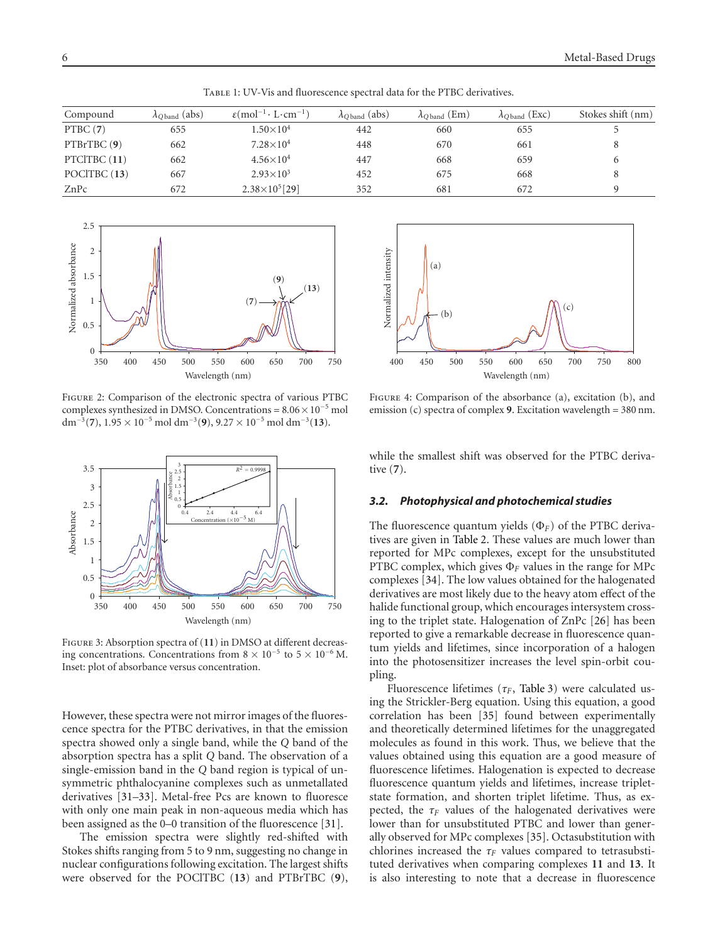<span id="page-5-1"></span>Table 1: UV-Vis and fluorescence spectral data for the PTBC derivatives.

| Compound     | $\lambda_{\text{Oband}}$ (abs) | $\varepsilon$ (mol <sup>-1</sup> · L·cm <sup>-1</sup> ) | $\lambda_{\text{Oband}}$ (abs) | $\lambda$ <sub>O band</sub> (Em) | $\lambda$ Oband (Exc) | Stokes shift (nm) |
|--------------|--------------------------------|---------------------------------------------------------|--------------------------------|----------------------------------|-----------------------|-------------------|
| PTBC(7)      | 655                            | $1.50{\times}10^4$                                      | 442                            | 660                              | 655                   |                   |
| PTBrTBC(9)   | 662                            | $7.28\times10^{4}$                                      | 448                            | 670                              | 661                   | 8                 |
| PTCITBC (11) | 662                            | $4.56\times10^{4}$                                      | 447                            | 668                              | 659                   | 6                 |
| POCITBC (13) | 667                            | $2.93 \times 10^{3}$                                    | 452                            | 675                              | 668                   | 8                 |
| ZnPc         | 672                            | $2.38\times10^{5}$ [29]                                 | 352                            | 681                              | 672                   | Q                 |



<span id="page-5-0"></span>Figure 2: Comparison of the electronic spectra of various PTBC complexes synthesized in DMSO. Concentrations =  $8.06 \times 10^{-5}$  mol dm<sup>−</sup>3(**7**), 1*.*95 × 10<sup>−</sup><sup>5</sup> mol dm<sup>−</sup>3(**9**), 9*.*27 × 10<sup>−</sup><sup>5</sup> mol dm<sup>−</sup>3(**13**).



<span id="page-5-2"></span>Figure 3: Absorption spectra of (**11**) in DMSO at different decreasing concentrations. Concentrations from  $8 \times 10^{-5}$  to  $5 \times 10^{-6}$  M. Inset: plot of absorbance versus concentration.

However, these spectra were not mirror images of the fluorescence spectra for the PTBC derivatives, in that the emission spectra showed only a single band, while the *Q* band of the absorption spectra has a split *Q* band. The observation of a single-emission band in the *Q* band region is typical of unsymmetric phthalocyanine complexes such as unmetallated derivatives [\[31](#page-8-12)[–33\]](#page-8-13). Metal-free Pcs are known to fluoresce with only one main peak in non-aqueous media which has been assigned as the 0–0 transition of the fluorescence [\[31](#page-8-12)].

The emission spectra were slightly red-shifted with Stokes shifts ranging from 5 to 9 nm, suggesting no change in nuclear configurations following excitation. The largest shifts were observed for the POClTBC (**13**) and PTBrTBC (**9**),



<span id="page-5-3"></span>Figure 4: Comparison of the absorbance (a), excitation (b), and emission (c) spectra of complex **9**. Excitation wavelength = 380 nm.

while the smallest shift was observed for the PTBC derivative (**7**).

## *3.2. Photophysical and photochemical studies*

The fluorescence quantum yields (Φ*<sup>F</sup>* ) of the PTBC derivatives are given in [Table 2.](#page-6-0) These values are much lower than reported for MPc complexes, except for the unsubstituted PTBC complex, which gives Φ*<sup>F</sup>* values in the range for MPc complexes [\[34\]](#page-8-14). The low values obtained for the halogenated derivatives are most likely due to the heavy atom effect of the halide functional group, which encourages intersystem crossing to the triplet state. Halogenation of ZnPc [\[26\]](#page-8-7) has been reported to give a remarkable decrease in fluorescence quantum yields and lifetimes, since incorporation of a halogen into the photosensitizer increases the level spin-orbit coupling.

Fluorescence lifetimes ( $\tau_F$ , [Table 3\)](#page-7-17) were calculated using the Strickler-Berg equation. Using this equation, a good correlation has been [\[35\]](#page-8-15) found between experimentally and theoretically determined lifetimes for the unaggregated molecules as found in this work. Thus, we believe that the values obtained using this equation are a good measure of fluorescence lifetimes. Halogenation is expected to decrease fluorescence quantum yields and lifetimes, increase tripletstate formation, and shorten triplet lifetime. Thus, as expected, the  $\tau_F$  values of the halogenated derivatives were lower than for unsubstituted PTBC and lower than generally observed for MPc complexes [\[35\]](#page-8-15). Octasubstitution with chlorines increased the  $\tau_F$  values compared to tetrasubstituted derivatives when comparing complexes **11** and **13**. It is also interesting to note that a decrease in fluorescence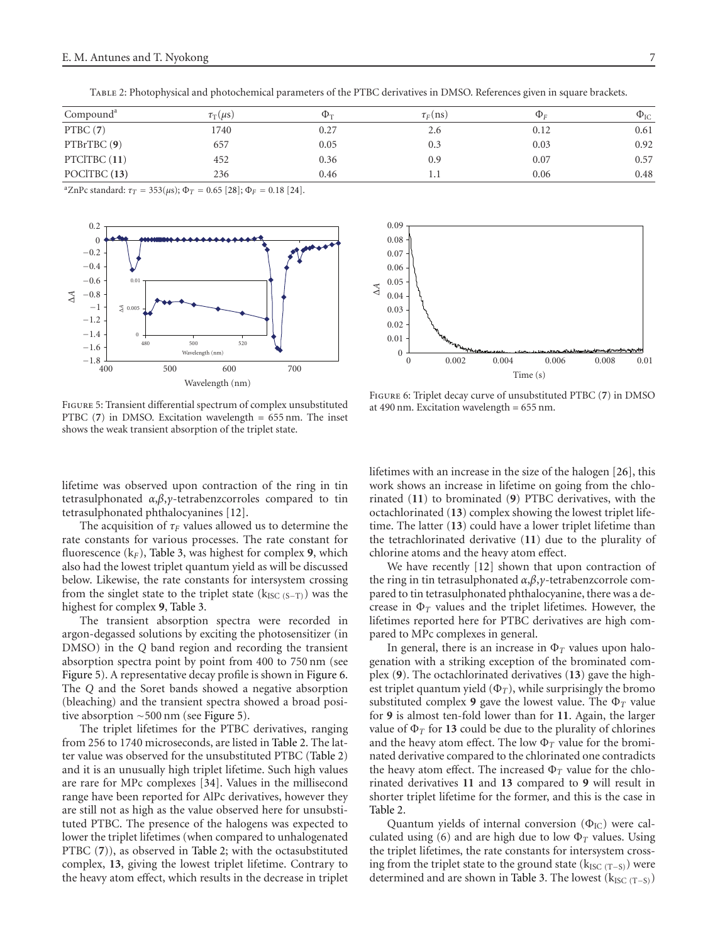| Compound <sup>a</sup> | $\tau_{\rm T}(\mu{\rm s})$ | $\Phi_{\rm T}$ | $\tau_F$ (ns) | $\Phi_E$ | $\Phi_{\text{IC}}$ |
|-----------------------|----------------------------|----------------|---------------|----------|--------------------|
| PTBC(7)               | 1740                       | 0.27           | 2.6           | 0.12     | 0.61               |
| PTBrTBC(9)            | 657                        | 0.05           | 0.3           | 0.03     | 0.92               |
| PTCITBC (11)          | 452                        | 0.36           | 0.9           | 0.07     | 0.57               |
| POCITBC (13)          | 236                        | 0.46           |               | 0.06     | 0.48               |

<span id="page-6-0"></span>Table 2: Photophysical and photochemical parameters of the PTBC derivatives in DMSO. References given in square brackets.

<sup>a</sup>ZnPc standard:  $τ_T = 353(μs)$ ;  $Φ_T = 0.65$  [\[28](#page-8-9)];  $Φ_F = 0.18$  [\[24](#page-8-5)].



<span id="page-6-1"></span>Figure 5: Transient differential spectrum of complex unsubstituted PTBC (**7**) in DMSO. Excitation wavelength = 655 nm. The inset shows the weak transient absorption of the triplet state.



<span id="page-6-2"></span>Figure 6: Triplet decay curve of unsubstituted PTBC (**7**) in DMSO at 490 nm. Excitation wavelength = 655 nm.

lifetime was observed upon contraction of the ring in tin tetrasulphonated *α*,*β*,*γ*-tetrabenzcorroles compared to tin tetrasulphonated phthalocyanines [\[12\]](#page-7-10).

The acquisition of  $\tau_F$  values allowed us to determine the rate constants for various processes. The rate constant for fluorescence  $(k_F)$ , [Table 3,](#page-7-17) was highest for complex 9, which also had the lowest triplet quantum yield as will be discussed below. Likewise, the rate constants for intersystem crossing from the singlet state to the triplet state ( $k_{\text{ISC (S-T)}}$ ) was the highest for complex **9**, [Table 3.](#page-7-17)

The transient absorption spectra were recorded in argon-degassed solutions by exciting the photosensitizer (in DMSO) in the *Q* band region and recording the transient absorption spectra point by point from 400 to 750 nm (see [Figure 5\)](#page-6-1). A representative decay profile is shown in [Figure 6.](#page-6-2) The *Q* and the Soret bands showed a negative absorption (bleaching) and the transient spectra showed a broad positive absorption ∼500 nm (see [Figure 5\)](#page-6-1).

The triplet lifetimes for the PTBC derivatives, ranging from 256 to 1740 microseconds, are listed in [Table 2.](#page-6-0) The latter value was observed for the unsubstituted PTBC [\(Table 2\)](#page-6-0) and it is an unusually high triplet lifetime. Such high values are rare for MPc complexes [\[34\]](#page-8-14). Values in the millisecond range have been reported for AlPc derivatives, however they are still not as high as the value observed here for unsubstituted PTBC. The presence of the halogens was expected to lower the triplet lifetimes (when compared to unhalogenated PTBC (**7**)), as observed in [Table 2;](#page-6-0) with the octasubstituted complex, **13**, giving the lowest triplet lifetime. Contrary to the heavy atom effect, which results in the decrease in triplet lifetimes with an increase in the size of the halogen [\[26](#page-8-7)], this work shows an increase in lifetime on going from the chlorinated (**11**) to brominated (**9**) PTBC derivatives, with the octachlorinated (**13**) complex showing the lowest triplet lifetime. The latter (**13**) could have a lower triplet lifetime than the tetrachlorinated derivative (**11**) due to the plurality of chlorine atoms and the heavy atom effect.

We have recently [\[12](#page-7-10)] shown that upon contraction of the ring in tin tetrasulphonated *α*,*β*,*γ*-tetrabenzcorrole compared to tin tetrasulphonated phthalocyanine, there was a decrease in  $\Phi_T$  values and the triplet lifetimes. However, the lifetimes reported here for PTBC derivatives are high compared to MPc complexes in general.

In general, there is an increase in  $\Phi_T$  values upon halogenation with a striking exception of the brominated complex (**9**). The octachlorinated derivatives (**13**) gave the highest triplet quantum yield  $(\Phi_T)$ , while surprisingly the bromo substituted complex **9** gave the lowest value. The  $\Phi_T$  value for **9** is almost ten-fold lower than for **11**. Again, the larger value of  $\Phi_T$  for 13 could be due to the plurality of chlorines and the heavy atom effect. The low  $\Phi_T$  value for the brominated derivative compared to the chlorinated one contradicts the heavy atom effect. The increased  $\Phi_T$  value for the chlorinated derivatives **11** and **13** compared to **9** will result in shorter triplet lifetime for the former, and this is the case in [Table 2.](#page-6-0)

Quantum yields of internal conversion  $(\Phi_{\text{IC}})$  were calculated using (6) and are high due to low  $\Phi_T$  values. Using the triplet lifetimes, the rate constants for intersystem crossing from the triplet state to the ground state ( $k_{\text{ISC (T-S)}}$ ) were determined and are shown in [Table 3.](#page-7-17) The lowest ( $k_{\text{ISC (T-S)}}$ )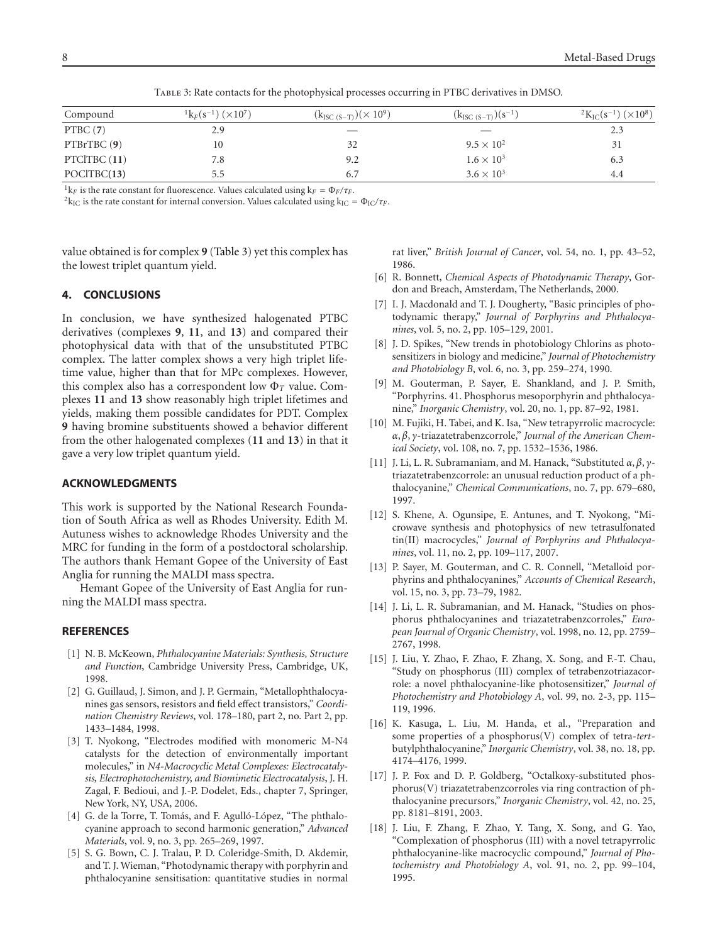| Compound     | $\frac{1}{2}k_F(s^{-1})$ ( $\times 10^7$ ) | $(k_{\rm{ISC} (S-T)}) (\times 10^9)$ | $(k_{\text{ISC (S-T)}})(s^{-1})$ | $^{2}$ K <sub>IC</sub> (s <sup>-1</sup> )( $\times$ 10 <sup>8</sup> ) |
|--------------|--------------------------------------------|--------------------------------------|----------------------------------|-----------------------------------------------------------------------|
| PTBC(7)      | 2.9                                        |                                      |                                  | 2.3                                                                   |
| PTBrTBC (9)  | 10                                         | 32                                   | $9.5 \times 10^{2}$              | 31                                                                    |
| PTCITBC (11) | 7.8                                        | 9.2                                  | $1.6 \times 10^{3}$              | 6.3                                                                   |
| POCITBC(13)  |                                            | 6.7                                  | $3.6 \times 10^{3}$              | 4.4                                                                   |

<span id="page-7-17"></span>Table 3: Rate contacts for the photophysical processes occurring in PTBC derivatives in DMSO.

<sup>1</sup> $k_F$  is the rate constant for fluorescence. Values calculated using  $k_F = \Phi_F / \tau_F$ .<br><sup>2</sup> $k_{\text{IC}}$  is the rate constant for internal conversion. Values calculated using  $k_{\text{IC}} = \Phi_{\text{IC}} / \tau_F$ .

value obtained is for complex **9** [\(Table 3\)](#page-7-17) yet this complex has the lowest triplet quantum yield.

## **4. CONCLUSIONS**

In conclusion, we have synthesized halogenated PTBC derivatives (complexes **9**, **11**, and **13**) and compared their photophysical data with that of the unsubstituted PTBC complex. The latter complex shows a very high triplet lifetime value, higher than that for MPc complexes. However, this complex also has a correspondent low Φ*<sup>T</sup>* value. Complexes **11** and **13** show reasonably high triplet lifetimes and yields, making them possible candidates for PDT. Complex **9** having bromine substituents showed a behavior different from the other halogenated complexes (**11** and **13**) in that it gave a very low triplet quantum yield.

## **ACKNOWLEDGMENTS**

This work is supported by the National Research Foundation of South Africa as well as Rhodes University. Edith M. Autuness wishes to acknowledge Rhodes University and the MRC for funding in the form of a postdoctoral scholarship. The authors thank Hemant Gopee of the University of East Anglia for running the MALDI mass spectra.

Hemant Gopee of the University of East Anglia for running the MALDI mass spectra.

## <span id="page-7-0"></span>**REFERENCES**

- <span id="page-7-1"></span>[1] N. B. McKeown, *Phthalocyanine Materials: Synthesis, Structure and Function*, Cambridge University Press, Cambridge, UK, 1998.
- <span id="page-7-2"></span>[2] G. Guillaud, J. Simon, and J. P. Germain, "Metallophthalocyanines gas sensors, resistors and field effect transistors," *Coordination Chemistry Reviews*, vol. 178–180, part 2, no. Part 2, pp. 1433–1484, 1998.
- <span id="page-7-3"></span>[3] T. Nyokong, "Electrodes modified with monomeric M-N4 catalysts for the detection of environmentally important molecules," in *N4-Macrocyclic Metal Complexes: Electrocatalysis, Electrophotochemistry, and Biomimetic Electrocatalysis*, J. H. Zagal, F. Bedioui, and J.-P. Dodelet, Eds., chapter 7, Springer, New York, NY, USA, 2006.
- <span id="page-7-4"></span>[4] G. de la Torre, T. Tomás, and F. Agulló-López, "The phthalocyanine approach to second harmonic generation," *Advanced Materials*, vol. 9, no. 3, pp. 265–269, 1997.
- <span id="page-7-5"></span>[5] S. G. Bown, C. J. Tralau, P. D. Coleridge-Smith, D. Akdemir, and T. J. Wieman, "Photodynamic therapy with porphyrin and phthalocyanine sensitisation: quantitative studies in normal

rat liver," *British Journal of Cancer*, vol. 54, no. 1, pp. 43–52, 1986.

- [6] R. Bonnett, *Chemical Aspects of Photodynamic Therapy*, Gordon and Breach, Amsterdam, The Netherlands, 2000.
- [7] I. J. Macdonald and T. J. Dougherty, "Basic principles of photodynamic therapy," *Journal of Porphyrins and Phthalocyanines*, vol. 5, no. 2, pp. 105–129, 2001.
- <span id="page-7-6"></span>[8] J. D. Spikes, "New trends in photobiology Chlorins as photosensitizers in biology and medicine," *Journal of Photochemistry and Photobiology B*, vol. 6, no. 3, pp. 259–274, 1990.
- <span id="page-7-7"></span>[9] M. Gouterman, P. Sayer, E. Shankland, and J. P. Smith, "Porphyrins. 41. Phosphorus mesoporphyrin and phthalocyanine," *Inorganic Chemistry*, vol. 20, no. 1, pp. 87–92, 1981.
- <span id="page-7-8"></span>[10] M. Fujiki, H. Tabei, and K. Isa, "New tetrapyrrolic macrocycle: *α*, *β*, *γ*-triazatetrabenzcorrole," *Journal of the American Chemical Society*, vol. 108, no. 7, pp. 1532–1536, 1986.
- <span id="page-7-9"></span>[11] J. Li, L. R. Subramaniam, and M. Hanack, "Substituted *α*, *β*, *γ*triazatetrabenzcorrole: an unusual reduction product of a phthalocyanine," *Chemical Communications*, no. 7, pp. 679–680, 1997.
- <span id="page-7-10"></span>[12] S. Khene, A. Ogunsipe, E. Antunes, and T. Nyokong, "Microwave synthesis and photophysics of new tetrasulfonated tin(II) macrocycles," *Journal of Porphyrins and Phthalocyanines*, vol. 11, no. 2, pp. 109–117, 2007.
- <span id="page-7-11"></span>[13] P. Sayer, M. Gouterman, and C. R. Connell, "Metalloid porphyrins and phthalocyanines," *Accounts of Chemical Research*, vol. 15, no. 3, pp. 73–79, 1982.
- <span id="page-7-12"></span>[14] J. Li, L. R. Subramanian, and M. Hanack, "Studies on phosphorus phthalocyanines and triazatetrabenzcorroles," *European Journal of Organic Chemistry*, vol. 1998, no. 12, pp. 2759– 2767, 1998.
- <span id="page-7-14"></span>[15] J. Liu, Y. Zhao, F. Zhao, F. Zhang, X. Song, and F.-T. Chau, "Study on phosphorus (III) complex of tetrabenzotriazacorrole: a novel phthalocyanine-like photosensitizer," *Journal of Photochemistry and Photobiology A*, vol. 99, no. 2-3, pp. 115– 119, 1996.
- <span id="page-7-16"></span>[16] K. Kasuga, L. Liu, M. Handa, et al., "Preparation and some properties of a phosphorus(V) complex of tetra-*tert*butylphthalocyanine," *Inorganic Chemistry*, vol. 38, no. 18, pp. 4174–4176, 1999.
- <span id="page-7-15"></span>[17] J. P. Fox and D. P. Goldberg, "Octalkoxy-substituted phosphorus(V) triazatetrabenzcorroles via ring contraction of phthalocyanine precursors," *Inorganic Chemistry*, vol. 42, no. 25, pp. 8181–8191, 2003.
- <span id="page-7-13"></span>[18] J. Liu, F. Zhang, F. Zhao, Y. Tang, X. Song, and G. Yao, "Complexation of phosphorus (III) with a novel tetrapyrrolic phthalocyanine-like macrocyclic compound," *Journal of Photochemistry and Photobiology A*, vol. 91, no. 2, pp. 99–104, 1995.